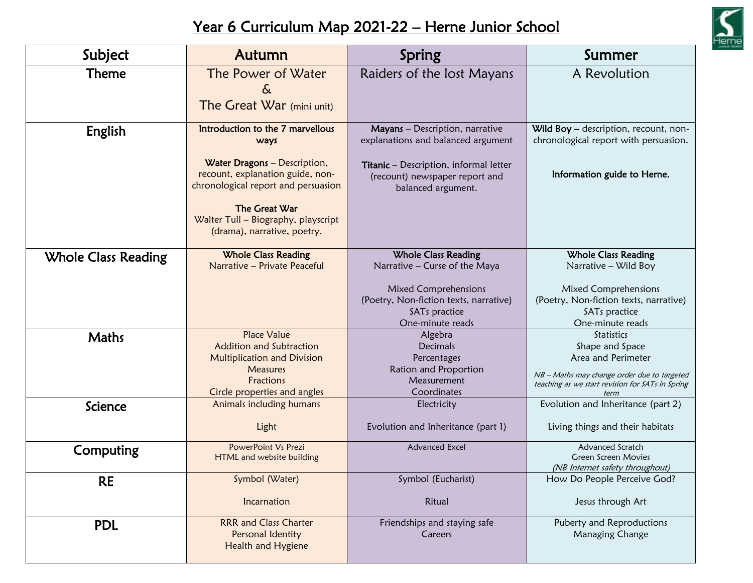

## Year 6 Curriculum Map 2021-22 – Herne Junior School

| Subject                    | Autumn                                                                                                  | Spring                                                                                         | Summer                                                                         |
|----------------------------|---------------------------------------------------------------------------------------------------------|------------------------------------------------------------------------------------------------|--------------------------------------------------------------------------------|
| <b>Theme</b>               | The Power of Water                                                                                      | Raiders of the lost Mayans                                                                     | A Revolution                                                                   |
|                            | &                                                                                                       |                                                                                                |                                                                                |
|                            | The Great War (mini unit)                                                                               |                                                                                                |                                                                                |
| English                    | Introduction to the 7 marvellous<br>ways                                                                | Mayans - Description, narrative<br>explanations and balanced argument                          | Wild Boy - description, recount, non-<br>chronological report with persuasion. |
|                            | Water Dragons - Description,<br>recount, explanation guide, non-<br>chronological report and persuasion | Titanic - Description, informal letter<br>(recount) newspaper report and<br>balanced argument. | Information guide to Herne.                                                    |
|                            | The Great War<br>Walter Tull - Biography, playscript<br>(drama), narrative, poetry.                     |                                                                                                |                                                                                |
| <b>Whole Class Reading</b> | <b>Whole Class Reading</b>                                                                              | <b>Whole Class Reading</b>                                                                     | <b>Whole Class Reading</b>                                                     |
|                            | Narrative - Private Peaceful                                                                            | Narrative - Curse of the Maya                                                                  | Narrative - Wild Boy                                                           |
|                            |                                                                                                         | Mixed Comprehensions                                                                           | Mixed Comprehensions                                                           |
|                            |                                                                                                         | (Poetry, Non-fiction texts, narrative)<br>SAT <sub>s</sub> practice                            | (Poetry, Non-fiction texts, narrative)<br>SAT <sub>s</sub> practice            |
|                            |                                                                                                         | One-minute reads                                                                               | One-minute reads                                                               |
| Maths                      | <b>Place Value</b>                                                                                      | Algebra                                                                                        | <b>Statistics</b>                                                              |
|                            | <b>Addition and Subtraction</b><br>Multiplication and Division                                          | <b>Decimals</b><br>Percentages                                                                 | Shape and Space<br>Area and Perimeter                                          |
|                            | <b>Measures</b>                                                                                         | Ration and Proportion                                                                          | NB - Maths may change order due to targeted                                    |
|                            | Fractions                                                                                               | Measurement                                                                                    | teaching as we start revision for SATs in Spring                               |
| Science                    | Circle properties and angles<br>Animals including humans                                                | Coordinates<br>Electricity                                                                     | term<br>Evolution and Inheritance (part 2)                                     |
|                            | Light                                                                                                   | Evolution and Inheritance (part 1)                                                             | Living things and their habitats                                               |
| Computing                  | PowerPoint Vs Prezi                                                                                     | <b>Advanced Excel</b>                                                                          | Advanced Scratch                                                               |
|                            | HTML and website building                                                                               |                                                                                                | Green Screen Movies<br>(NB Internet safety throughout)                         |
| <b>RE</b>                  | Symbol (Water)                                                                                          | Symbol (Eucharist)                                                                             | How Do People Perceive God?                                                    |
|                            | Incarnation                                                                                             | Ritual                                                                                         | Jesus through Art                                                              |
| <b>PDL</b>                 | <b>RRR and Class Charter</b><br>Personal Identity<br>Health and Hygiene                                 | Friendships and staying safe<br>Careers                                                        | Puberty and Reproductions<br>Managing Change                                   |